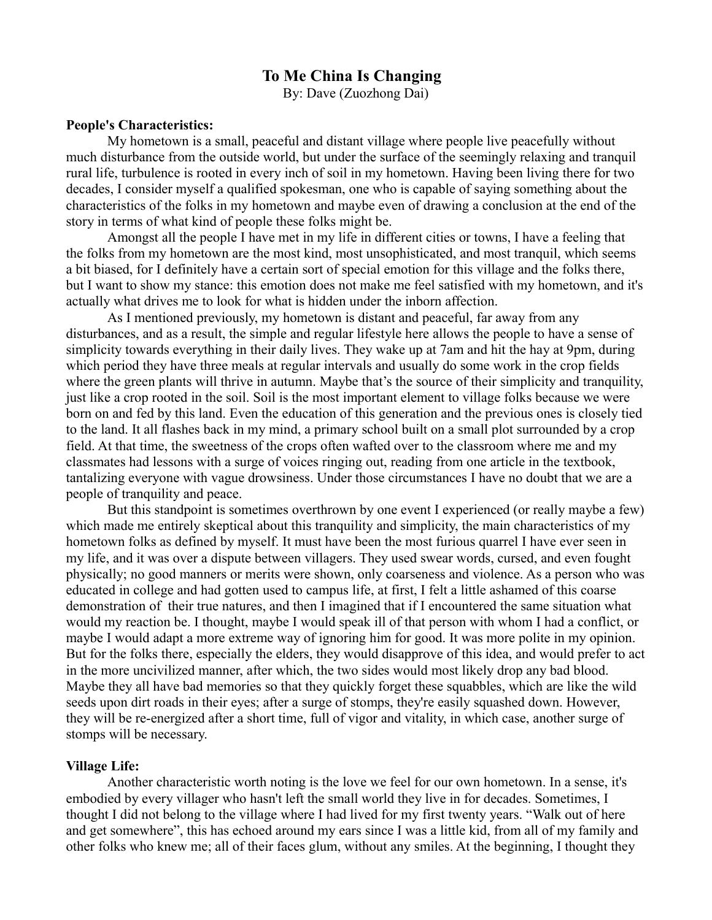## **To Me China Is Changing**

By: Dave (Zuozhong Dai)

## **People's Characteristics:**

My hometown is a small, peaceful and distant village where people live peacefully without much disturbance from the outside world, but under the surface of the seemingly relaxing and tranquil rural life, turbulence is rooted in every inch of soil in my hometown. Having been living there for two decades, I consider myself a qualified spokesman, one who is capable of saying something about the characteristics of the folks in my hometown and maybe even of drawing a conclusion at the end of the story in terms of what kind of people these folks might be.

Amongst all the people I have met in my life in different cities or towns, I have a feeling that the folks from my hometown are the most kind, most unsophisticated, and most tranquil, which seems a bit biased, for I definitely have a certain sort of special emotion for this village and the folks there, but I want to show my stance: this emotion does not make me feel satisfied with my hometown, and it's actually what drives me to look for what is hidden under the inborn affection.

As I mentioned previously, my hometown is distant and peaceful, far away from any disturbances, and as a result, the simple and regular lifestyle here allows the people to have a sense of simplicity towards everything in their daily lives. They wake up at 7am and hit the hay at 9pm, during which period they have three meals at regular intervals and usually do some work in the crop fields where the green plants will thrive in autumn. Maybe that's the source of their simplicity and tranquility, just like a crop rooted in the soil. Soil is the most important element to village folks because we were born on and fed by this land. Even the education of this generation and the previous ones is closely tied to the land. It all flashes back in my mind, a primary school built on a small plot surrounded by a crop field. At that time, the sweetness of the crops often wafted over to the classroom where me and my classmates had lessons with a surge of voices ringing out, reading from one article in the textbook, tantalizing everyone with vague drowsiness. Under those circumstances I have no doubt that we are a people of tranquility and peace.

But this standpoint is sometimes overthrown by one event I experienced (or really maybe a few) which made me entirely skeptical about this tranquility and simplicity, the main characteristics of my hometown folks as defined by myself. It must have been the most furious quarrel I have ever seen in my life, and it was over a dispute between villagers. They used swear words, cursed, and even fought physically; no good manners or merits were shown, only coarseness and violence. As a person who was educated in college and had gotten used to campus life, at first, I felt a little ashamed of this coarse demonstration of their true natures, and then I imagined that if I encountered the same situation what would my reaction be. I thought, maybe I would speak ill of that person with whom I had a conflict, or maybe I would adapt a more extreme way of ignoring him for good. It was more polite in my opinion. But for the folks there, especially the elders, they would disapprove of this idea, and would prefer to act in the more uncivilized manner, after which, the two sides would most likely drop any bad blood. Maybe they all have bad memories so that they quickly forget these squabbles, which are like the wild seeds upon dirt roads in their eyes; after a surge of stomps, they're easily squashed down. However, they will be re-energized after a short time, full of vigor and vitality, in which case, another surge of stomps will be necessary.

## **Village Life:**

Another characteristic worth noting is the love we feel for our own hometown. In a sense, it's embodied by every villager who hasn't left the small world they live in for decades. Sometimes, I thought I did not belong to the village where I had lived for my first twenty years. "Walk out of here and get somewhere", this has echoed around my ears since I was a little kid, from all of my family and other folks who knew me; all of their faces glum, without any smiles. At the beginning, I thought they